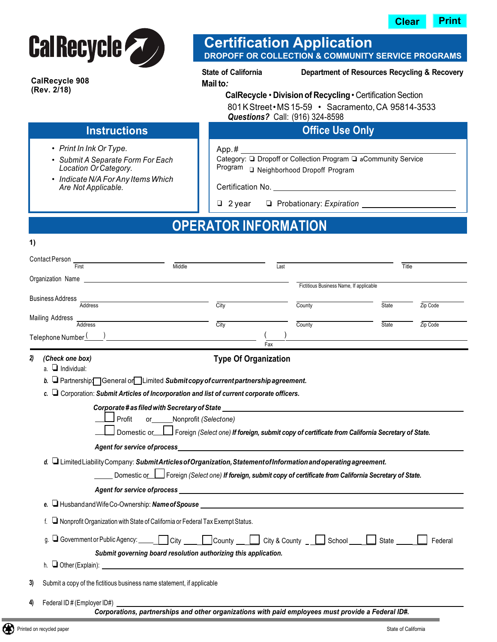



**CalRecycle 908 (Rev. 2/18)** 

**1)** 

#### **Certification Application DROPOFF OR COLLECTION & COMMUNITY SERVICE PROGRAMS**

App. #

**State of California Department of Resources Recycling & Recovery**

**Mailto***:*

#### 801 K Street • MS 15-59 • Sacramento, CA 95814-3533 *Questions?* Call: (916) 324-8598 **CalRecycle • Division of Recycling •** Certification Section

**Office Use Only**

Category: ❏ Dropoff or Collection Program ❏ aCommunity Service

#### **Instructions**

- *• Print In Ink Or Type.*
- *• Submit A Separate Form For Each Location Or Category.*
- *• Indicate N/A For Any Items Which Are Not Applicable.*

Certification No.

❑ 2 year ❏ Probationary: *Expiration*

Program ❑ Neighborhood Dropoff Program

## **OPERATOR INFORMATION**

| <b>Contact Person</b>   | First                                                                                                                                             | Middle                                                                                                                  |      | Last                        |                                         | Title        |          |  |  |  |
|-------------------------|---------------------------------------------------------------------------------------------------------------------------------------------------|-------------------------------------------------------------------------------------------------------------------------|------|-----------------------------|-----------------------------------------|--------------|----------|--|--|--|
| Organization Name       |                                                                                                                                                   |                                                                                                                         |      |                             |                                         |              |          |  |  |  |
|                         |                                                                                                                                                   |                                                                                                                         |      |                             | Fictitious Business Name, If applicable |              |          |  |  |  |
| <b>Business Address</b> | <b>Address</b>                                                                                                                                    |                                                                                                                         | City |                             | County                                  | <b>State</b> | Zip Code |  |  |  |
| <b>Mailing Address</b>  | <b>Address</b>                                                                                                                                    |                                                                                                                         | City |                             | County                                  | State        | Zip Code |  |  |  |
| Telephone Number        |                                                                                                                                                   |                                                                                                                         |      |                             |                                         |              |          |  |  |  |
|                         |                                                                                                                                                   |                                                                                                                         |      | Fax                         |                                         |              |          |  |  |  |
| 2)<br>(Check one box)   |                                                                                                                                                   |                                                                                                                         |      | <b>Type Of Organization</b> |                                         |              |          |  |  |  |
| $a.$ Individual:        |                                                                                                                                                   |                                                                                                                         |      |                             |                                         |              |          |  |  |  |
|                         |                                                                                                                                                   | b. $\Box$ Partnership $\Box$ General or $\Box$ Limited Submit copy of current partnership agreement.                    |      |                             |                                         |              |          |  |  |  |
|                         |                                                                                                                                                   | c. $\Box$ Corporation: Submit Articles of Incorporation and list of current corporate officers.                         |      |                             |                                         |              |          |  |  |  |
|                         |                                                                                                                                                   |                                                                                                                         |      |                             |                                         |              |          |  |  |  |
|                         | Profit<br>or Nonprofit (Selectone)<br>Domestic or Foreign (Select one) If foreign, submit copy of certificate from California Secretary of State. |                                                                                                                         |      |                             |                                         |              |          |  |  |  |
|                         |                                                                                                                                                   | <b>Agent for service of process</b>                                                                                     |      |                             |                                         |              |          |  |  |  |
|                         |                                                                                                                                                   | d. $\Box$ Limited Liability Company: Submit Articles of Organization, Statement of Information and operating agreement. |      |                             |                                         |              |          |  |  |  |
|                         |                                                                                                                                                   | Domestic or <b>I</b> Foreign (Select one) If foreign, submit copy of certificate from California Secretary of State.    |      |                             |                                         |              |          |  |  |  |
|                         |                                                                                                                                                   | Agent for service of process with a service of process and contact the service of process of the service of process     |      |                             |                                         |              |          |  |  |  |
|                         |                                                                                                                                                   | e. Husband and Wife Co-Ownership: Name of Spouse                                                                        |      |                             |                                         |              |          |  |  |  |
| └┙                      | Nonprofit Organization with State of California or Federal Tax Exempt Status.                                                                     |                                                                                                                         |      |                             |                                         |              |          |  |  |  |
| q.                      | Government or Public Agency: City<br>City & County $\Box$<br>County __<br>School<br>State<br>Federal                                              |                                                                                                                         |      |                             |                                         |              |          |  |  |  |
|                         |                                                                                                                                                   | Submit governing board resolution authorizing this application.                                                         |      |                             |                                         |              |          |  |  |  |
|                         |                                                                                                                                                   | $h. \Box$ Other (Explain): $\Box$                                                                                       |      |                             |                                         |              |          |  |  |  |
| 3)                      |                                                                                                                                                   | Submit a copy of the fictitious business name statement, if applicable                                                  |      |                             |                                         |              |          |  |  |  |

**4)** Federal ID # (Employer ID#)

*Corporations, partnerships and other organizations with paid employees must provide a Federal ID#.*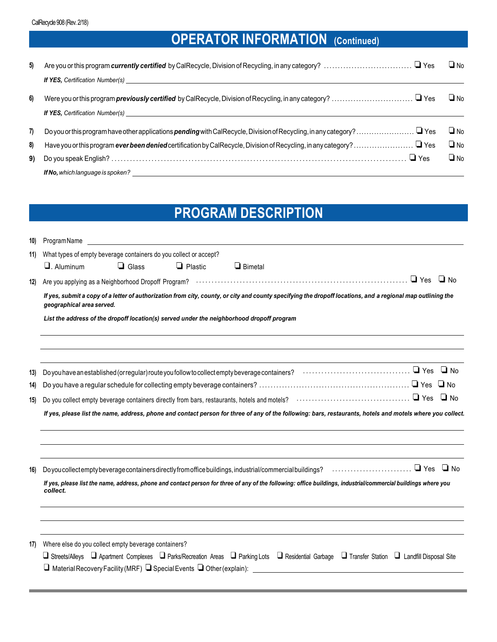# **OPERATOR INFORMATION (Continued)**

| 5) | Are you or this program currently certified by CalRecycle, Division of Recycling, in any category?  □ Yes<br><b>If YES</b> , Certification Number(s) <b>Manual</b>                                                                  | $\Box$ No |
|----|-------------------------------------------------------------------------------------------------------------------------------------------------------------------------------------------------------------------------------------|-----------|
| 6) | <b>If YES, Certification Number(s)</b> And the state of the state of the state of the state of the state of the state of the state of the state of the state of the state of the state of the state of the state of the state of th | $\Box$ No |
| 7) |                                                                                                                                                                                                                                     | $\Box$ No |
| 8) |                                                                                                                                                                                                                                     | $\Box$ No |
| 9) | $\Box$ Yes                                                                                                                                                                                                                          | $\Box$ No |
|    |                                                                                                                                                                                                                                     |           |

# **PROGRAM DESCRIPTION**

| 10) | ProgramName                                                                                                                                                                              |                                                                                           |                |                                                                                                                                                                                                                                           |  |  |  |  |
|-----|------------------------------------------------------------------------------------------------------------------------------------------------------------------------------------------|-------------------------------------------------------------------------------------------|----------------|-------------------------------------------------------------------------------------------------------------------------------------------------------------------------------------------------------------------------------------------|--|--|--|--|
| 11) | What types of empty beverage containers do you collect or accept?                                                                                                                        |                                                                                           |                |                                                                                                                                                                                                                                           |  |  |  |  |
|     | $\Box$ . Aluminum                                                                                                                                                                        | $\Box$ Glass                                                                              | $\Box$ Plastic | $\Box$ Bimetal                                                                                                                                                                                                                            |  |  |  |  |
| 12) |                                                                                                                                                                                          |                                                                                           |                | Are you applying as a Neighborhood Dropoff Program? ………………………………………………………………………… □ Yes □ No                                                                                                                                               |  |  |  |  |
|     | If yes, submit a copy of a letter of authorization from city, county, or city and county specifying the dropoff locations, and a regional map outlining the<br>geographical area served. |                                                                                           |                |                                                                                                                                                                                                                                           |  |  |  |  |
|     |                                                                                                                                                                                          | List the address of the dropoff location(s) served under the neighborhood dropoff program |                |                                                                                                                                                                                                                                           |  |  |  |  |
| 13) |                                                                                                                                                                                          |                                                                                           |                | Do you have an established (or regular) route you follow to collect empty beverage containers? $\cdots$ $\cdots$ $\cdots$ $\cdots$ $\cdots$ $\cdots$ $\cdots$ $\cdots$ $\Box$ Yes $\Box$ No                                               |  |  |  |  |
| 14) |                                                                                                                                                                                          |                                                                                           |                |                                                                                                                                                                                                                                           |  |  |  |  |
| 15) |                                                                                                                                                                                          |                                                                                           |                |                                                                                                                                                                                                                                           |  |  |  |  |
|     | If yes, please list the name, address, phone and contact person for three of any of the following: bars, restaurants, hotels and motels where you collect.                               |                                                                                           |                |                                                                                                                                                                                                                                           |  |  |  |  |
|     |                                                                                                                                                                                          |                                                                                           |                |                                                                                                                                                                                                                                           |  |  |  |  |
| 16) |                                                                                                                                                                                          |                                                                                           |                |                                                                                                                                                                                                                                           |  |  |  |  |
|     | If yes, please list the name, address, phone and contact person for three of any of the following: office buildings, industrial/commercial buildings where you<br>collect.               |                                                                                           |                |                                                                                                                                                                                                                                           |  |  |  |  |
|     |                                                                                                                                                                                          |                                                                                           |                |                                                                                                                                                                                                                                           |  |  |  |  |
| 17) | Where else do you collect empty beverage containers?                                                                                                                                     |                                                                                           |                | □ Streets/Alleys □ Apartment Complexes □ Parks/Recreation Areas □ Parking Lots □ Residential Garbage □ Transfer Station □ Landfill Disposal Site<br>$\Box$ Material Recovery Facility (MRF) $\Box$ Special Events $\Box$ Other (explain): |  |  |  |  |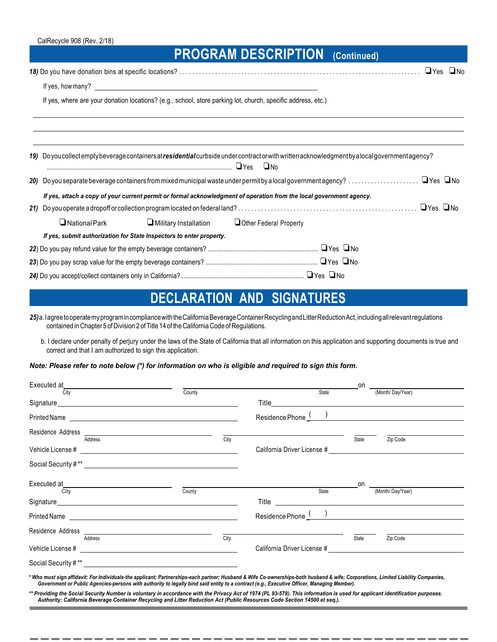## **PROGRAM DESCRIPTION (Continued)**

 *18)* Do you have donation bins at specific locations? .......................................................................... ❏Yes ❏No If yes, how many?

If yes, where are your donation locations? (e.g., school, store parking lot, church, specific address, etc.)

|                                                                                                                      |                      |  | 19) Doyou collectempty beverage containers at <b>residential</b> curbside under contract or with written acknowledgment by a local government agency? |  |  |  |  |  |
|----------------------------------------------------------------------------------------------------------------------|----------------------|--|-------------------------------------------------------------------------------------------------------------------------------------------------------|--|--|--|--|--|
|                                                                                                                      |                      |  |                                                                                                                                                       |  |  |  |  |  |
| If yes, attach a copy of your current permit or formal acknowledgment of operation from the local government agency. |                      |  |                                                                                                                                                       |  |  |  |  |  |
|                                                                                                                      |                      |  | $\Box$ Yes $\Box$ No                                                                                                                                  |  |  |  |  |  |
|                                                                                                                      | $\Box$ National Park |  | Military Installation Dother Federal Property                                                                                                         |  |  |  |  |  |
| If yes, submit authorization for State Inspectors to enter property.                                                 |                      |  |                                                                                                                                                       |  |  |  |  |  |
|                                                                                                                      |                      |  |                                                                                                                                                       |  |  |  |  |  |
|                                                                                                                      |                      |  |                                                                                                                                                       |  |  |  |  |  |
|                                                                                                                      |                      |  |                                                                                                                                                       |  |  |  |  |  |

### **DECLARATION AND SIGNATURES**

 *25)*a.Iagree to operate my programin compliancewith the CaliforniaBeverage Container Recycling andLitter ReductionAct, including all relevant regulations contained in Chapter 5 of Division 2 of Title 14 of the California Code of Regulations.

b. I declare under penalty of perjury under the laws of the State of California that all information on this application and supporting documents is true and correct and that I am authorized to sign this application.

*Note: Please refer to note below (\* ) for information on who is eligible and required to sign this form.* 

|                                                                                                                                                                                                                                      |        |      |                                                                                                                                                                                                                                      |       | $\mathsf{on}$ and $\mathsf{on}$ and $\mathsf{on}$ are $\mathsf{on}$ and $\mathsf{on}$ and $\mathsf{on}$ are $\mathsf{on}$ and $\mathsf{on}$ are $\mathsf{on}$ and $\mathsf{on}$ are $\mathsf{on}$ and $\mathsf{on}$ are $\mathsf{on}$ and $\mathsf{on}$ are $\mathsf{on}$ and $\mathsf{on}$ are $\mathsf{on}$ and |  |
|--------------------------------------------------------------------------------------------------------------------------------------------------------------------------------------------------------------------------------------|--------|------|--------------------------------------------------------------------------------------------------------------------------------------------------------------------------------------------------------------------------------------|-------|-------------------------------------------------------------------------------------------------------------------------------------------------------------------------------------------------------------------------------------------------------------------------------------------------------------------|--|
| City                                                                                                                                                                                                                                 | County |      | State                                                                                                                                                                                                                                |       | (Month/Day/Year)                                                                                                                                                                                                                                                                                                  |  |
|                                                                                                                                                                                                                                      |        |      | Title <u>such and the series of the series of the series of the series of the series of the series of the series of the series of the series of the series of the series of the series of the series of the series of the series</u> |       |                                                                                                                                                                                                                                                                                                                   |  |
| Printed Name <b>contract the contract of the contract of the contract of the contract of the contract of the contract of the contract of the contract of the contract of the contract of the contract of the contract of the con</b> |        |      | Residence Phone ( )                                                                                                                                                                                                                  |       |                                                                                                                                                                                                                                                                                                                   |  |
| Address                                                                                                                                                                                                                              |        | City |                                                                                                                                                                                                                                      | State | Zip Code                                                                                                                                                                                                                                                                                                          |  |
|                                                                                                                                                                                                                                      |        |      |                                                                                                                                                                                                                                      |       |                                                                                                                                                                                                                                                                                                                   |  |
| Social Security #** Letter and the second security with the second security with the second second second second second second second second second second second second second second second second second second second seco       |        |      |                                                                                                                                                                                                                                      |       |                                                                                                                                                                                                                                                                                                                   |  |
|                                                                                                                                                                                                                                      |        |      |                                                                                                                                                                                                                                      | on    |                                                                                                                                                                                                                                                                                                                   |  |
| City                                                                                                                                                                                                                                 | County |      | State                                                                                                                                                                                                                                |       | (Month/Day/Year)                                                                                                                                                                                                                                                                                                  |  |
|                                                                                                                                                                                                                                      |        |      | Residence Phone ( )                                                                                                                                                                                                                  |       |                                                                                                                                                                                                                                                                                                                   |  |
| Address                                                                                                                                                                                                                              |        |      |                                                                                                                                                                                                                                      | State |                                                                                                                                                                                                                                                                                                                   |  |
|                                                                                                                                                                                                                                      |        | City |                                                                                                                                                                                                                                      |       | Zip Code                                                                                                                                                                                                                                                                                                          |  |
| Social Security #** New York 1997                                                                                                                                                                                                    |        |      |                                                                                                                                                                                                                                      |       |                                                                                                                                                                                                                                                                                                                   |  |

 *\* Who must sign affidavit: For Individuals-the applicant; Partnerships-each partner; Husband & Wife Co-ownerships-both husband & wife; Corporations, Limited Liability Companies, Government or Public Agencies-persons with authority to legally bind said entity to a contract (e.g., Executive Officer, Managing Member).* 

*\*\* Providing the Social Security Number is voluntary in accordance with the Privacy Act of 1974 (PL 93-579). This information is used for applicant identification purposes. Authority: California Beverage Container Recycling and Litter Reduction Act (Public Resources Code Section 14500 et seq.).*